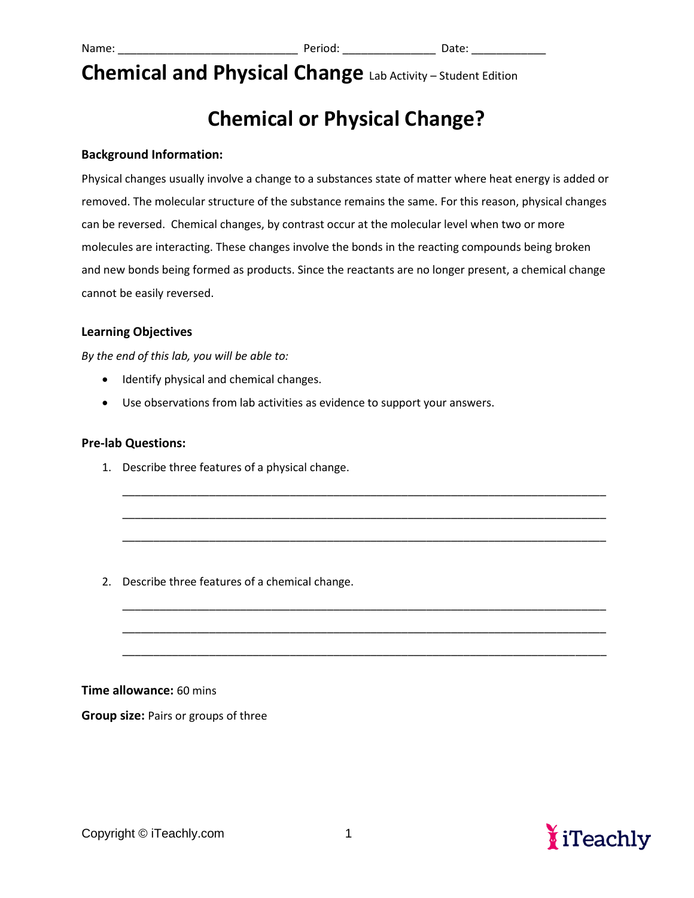# **Chemical or Physical Change?**

#### **Background Information:**

Physical changes usually involve a change to a substances state of matter where heat energy is added or removed. The molecular structure of the substance remains the same. For this reason, physical changes can be reversed. Chemical changes, by contrast occur at the molecular level when two or more molecules are interacting. These changes involve the bonds in the reacting compounds being broken and new bonds being formed as products. Since the reactants are no longer present, a chemical change cannot be easily reversed.

\_\_\_\_\_\_\_\_\_\_\_\_\_\_\_\_\_\_\_\_\_\_\_\_\_\_\_\_\_\_\_\_\_\_\_\_\_\_\_\_\_\_\_\_\_\_\_\_\_\_\_\_\_\_\_\_\_\_\_\_\_\_\_\_\_\_\_\_\_\_\_\_\_\_\_\_\_\_

\_\_\_\_\_\_\_\_\_\_\_\_\_\_\_\_\_\_\_\_\_\_\_\_\_\_\_\_\_\_\_\_\_\_\_\_\_\_\_\_\_\_\_\_\_\_\_\_\_\_\_\_\_\_\_\_\_\_\_\_\_\_\_\_\_\_\_\_\_\_\_\_\_\_\_\_\_\_

\_\_\_\_\_\_\_\_\_\_\_\_\_\_\_\_\_\_\_\_\_\_\_\_\_\_\_\_\_\_\_\_\_\_\_\_\_\_\_\_\_\_\_\_\_\_\_\_\_\_\_\_\_\_\_\_\_\_\_\_\_\_\_\_\_\_\_\_\_\_\_\_\_\_\_\_\_\_

\_\_\_\_\_\_\_\_\_\_\_\_\_\_\_\_\_\_\_\_\_\_\_\_\_\_\_\_\_\_\_\_\_\_\_\_\_\_\_\_\_\_\_\_\_\_\_\_\_\_\_\_\_\_\_\_\_\_\_\_\_\_\_\_\_\_\_\_\_\_\_\_\_\_\_\_\_\_

\_\_\_\_\_\_\_\_\_\_\_\_\_\_\_\_\_\_\_\_\_\_\_\_\_\_\_\_\_\_\_\_\_\_\_\_\_\_\_\_\_\_\_\_\_\_\_\_\_\_\_\_\_\_\_\_\_\_\_\_\_\_\_\_\_\_\_\_\_\_\_\_\_\_\_\_\_\_

\_\_\_\_\_\_\_\_\_\_\_\_\_\_\_\_\_\_\_\_\_\_\_\_\_\_\_\_\_\_\_\_\_\_\_\_\_\_\_\_\_\_\_\_\_\_\_\_\_\_\_\_\_\_\_\_\_\_\_\_\_\_\_\_\_\_\_\_\_\_\_\_\_\_\_\_\_\_

#### **Learning Objectives**

*By the end of this lab, you will be able to:*

- Identify physical and chemical changes.
- Use observations from lab activities as evidence to support your answers.

#### **Pre-lab Questions:**

1. Describe three features of a physical change.

2. Describe three features of a chemical change.

**Time allowance:** 60 mins

**Group size:** Pairs or groups of three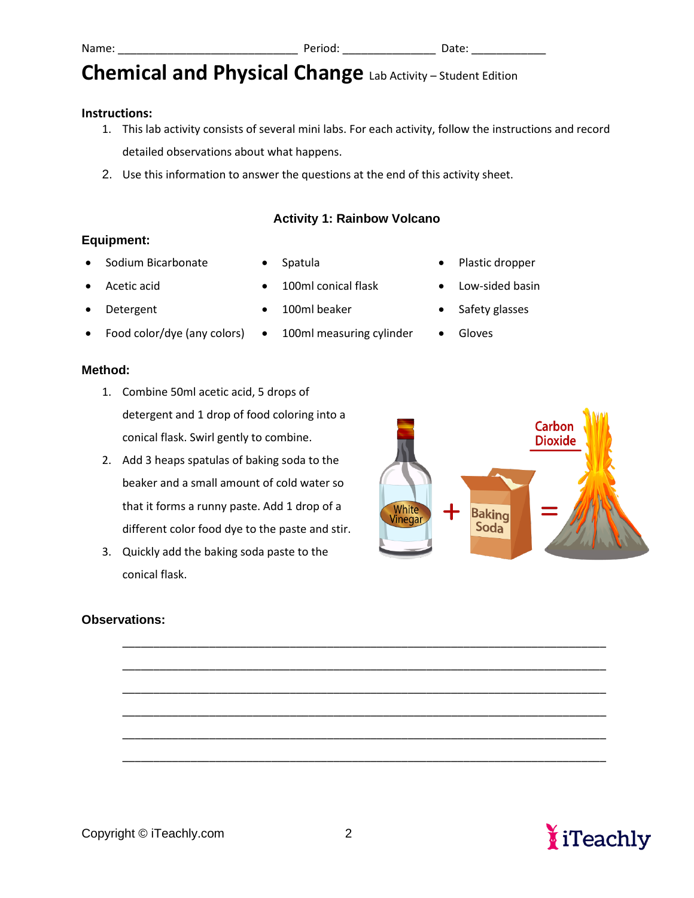#### **Instructions:**

- 1. This lab activity consists of several mini labs. For each activity, follow the instructions and record detailed observations about what happens.
- 2. Use this information to answer the questions at the end of this activity sheet.

#### **Activity 1: Rainbow Volcano**

#### **Equipment:**

- Sodium Bicarbonate
- 
- Acetic acid
- Detergent
- Food color/dye (any colors) 100ml measuring cylinder Gloves

#### **Method:**

- 1. Combine 50ml acetic acid, 5 drops of detergent and 1 drop of food coloring into a conical flask. Swirl gently to combine.
- 2. Add 3 heaps spatulas of baking soda to the beaker and a small amount of cold water so that it forms a runny paste. Add 1 drop of a different color food dye to the paste and stir.
- 3. Quickly add the baking soda paste to the conical flask.

### **Observations:**

- Spatula
- 100ml conical flask
- 100ml beaker
	-
- Plastic dropper
- Low-sided basin
- Safety glasses
- 





\_\_\_\_\_\_\_\_\_\_\_\_\_\_\_\_\_\_\_\_\_\_\_\_\_\_\_\_\_\_\_\_\_\_\_\_\_\_\_\_\_\_\_\_\_\_\_\_\_\_\_\_\_\_\_\_\_\_\_\_\_\_\_\_\_\_\_\_\_\_\_\_\_\_\_\_\_\_

\_\_\_\_\_\_\_\_\_\_\_\_\_\_\_\_\_\_\_\_\_\_\_\_\_\_\_\_\_\_\_\_\_\_\_\_\_\_\_\_\_\_\_\_\_\_\_\_\_\_\_\_\_\_\_\_\_\_\_\_\_\_\_\_\_\_\_\_\_\_\_\_\_\_\_\_\_\_

\_\_\_\_\_\_\_\_\_\_\_\_\_\_\_\_\_\_\_\_\_\_\_\_\_\_\_\_\_\_\_\_\_\_\_\_\_\_\_\_\_\_\_\_\_\_\_\_\_\_\_\_\_\_\_\_\_\_\_\_\_\_\_\_\_\_\_\_\_\_\_\_\_\_\_\_\_\_

\_\_\_\_\_\_\_\_\_\_\_\_\_\_\_\_\_\_\_\_\_\_\_\_\_\_\_\_\_\_\_\_\_\_\_\_\_\_\_\_\_\_\_\_\_\_\_\_\_\_\_\_\_\_\_\_\_\_\_\_\_\_\_\_\_\_\_\_\_\_\_\_\_\_\_\_\_\_

\_\_\_\_\_\_\_\_\_\_\_\_\_\_\_\_\_\_\_\_\_\_\_\_\_\_\_\_\_\_\_\_\_\_\_\_\_\_\_\_\_\_\_\_\_\_\_\_\_\_\_\_\_\_\_\_\_\_\_\_\_\_\_\_\_\_\_\_\_\_\_\_\_\_\_\_\_\_

\_\_\_\_\_\_\_\_\_\_\_\_\_\_\_\_\_\_\_\_\_\_\_\_\_\_\_\_\_\_\_\_\_\_\_\_\_\_\_\_\_\_\_\_\_\_\_\_\_\_\_\_\_\_\_\_\_\_\_\_\_\_\_\_\_\_\_\_\_\_\_\_\_\_\_\_\_\_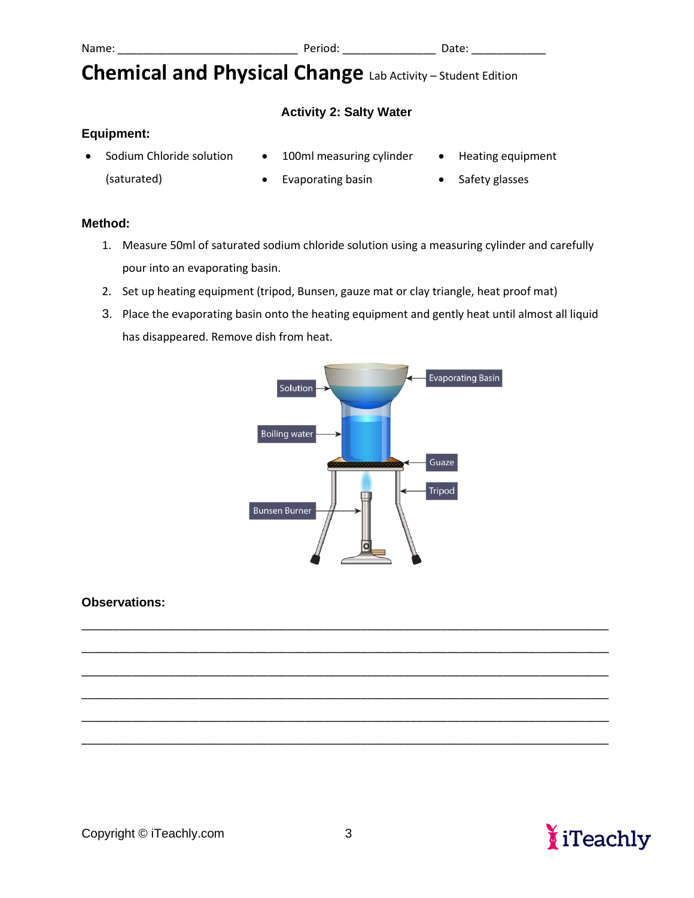### **Activity 2: Salty Water**

### **Equipment:**

- Sodium Chloride solution 100ml measuring cylinder Heating equipment
- 
- (saturated)
- Evaporating basin Safety glasses
	-

#### **Method:**

- 1. Measure 50ml of saturated sodium chloride solution using a measuring cylinder and carefully pour into an evaporating basin.
- 2. Set up heating equipment (tripod, Bunsen, gauze mat or clay triangle, heat proof mat)
- 3. Place the evaporating basin onto the heating equipment and gently heat until almost all liquid has disappeared. Remove dish from heat.



### **Observations:**



\_\_\_\_\_\_\_\_\_\_\_\_\_\_\_\_\_\_\_\_\_\_\_\_\_\_\_\_\_\_\_\_\_\_\_\_\_\_\_\_\_\_\_\_\_\_\_\_\_\_\_\_\_\_\_\_\_\_\_\_\_\_\_\_\_\_\_\_\_\_\_\_\_\_\_\_\_\_\_\_\_\_\_\_\_

\_\_\_\_\_\_\_\_\_\_\_\_\_\_\_\_\_\_\_\_\_\_\_\_\_\_\_\_\_\_\_\_\_\_\_\_\_\_\_\_\_\_\_\_\_\_\_\_\_\_\_\_\_\_\_\_\_\_\_\_\_\_\_\_\_\_\_\_\_\_\_\_\_\_\_\_\_\_\_\_\_\_\_\_\_

\_\_\_\_\_\_\_\_\_\_\_\_\_\_\_\_\_\_\_\_\_\_\_\_\_\_\_\_\_\_\_\_\_\_\_\_\_\_\_\_\_\_\_\_\_\_\_\_\_\_\_\_\_\_\_\_\_\_\_\_\_\_\_\_\_\_\_\_\_\_\_\_\_\_\_\_\_\_\_\_\_\_\_\_\_

\_\_\_\_\_\_\_\_\_\_\_\_\_\_\_\_\_\_\_\_\_\_\_\_\_\_\_\_\_\_\_\_\_\_\_\_\_\_\_\_\_\_\_\_\_\_\_\_\_\_\_\_\_\_\_\_\_\_\_\_\_\_\_\_\_\_\_\_\_\_\_\_\_\_\_\_\_\_\_\_\_\_\_\_\_

\_\_\_\_\_\_\_\_\_\_\_\_\_\_\_\_\_\_\_\_\_\_\_\_\_\_\_\_\_\_\_\_\_\_\_\_\_\_\_\_\_\_\_\_\_\_\_\_\_\_\_\_\_\_\_\_\_\_\_\_\_\_\_\_\_\_\_\_\_\_\_\_\_\_\_\_\_\_\_\_\_\_\_\_\_

\_\_\_\_\_\_\_\_\_\_\_\_\_\_\_\_\_\_\_\_\_\_\_\_\_\_\_\_\_\_\_\_\_\_\_\_\_\_\_\_\_\_\_\_\_\_\_\_\_\_\_\_\_\_\_\_\_\_\_\_\_\_\_\_\_\_\_\_\_\_\_\_\_\_\_\_\_\_\_\_\_\_\_\_\_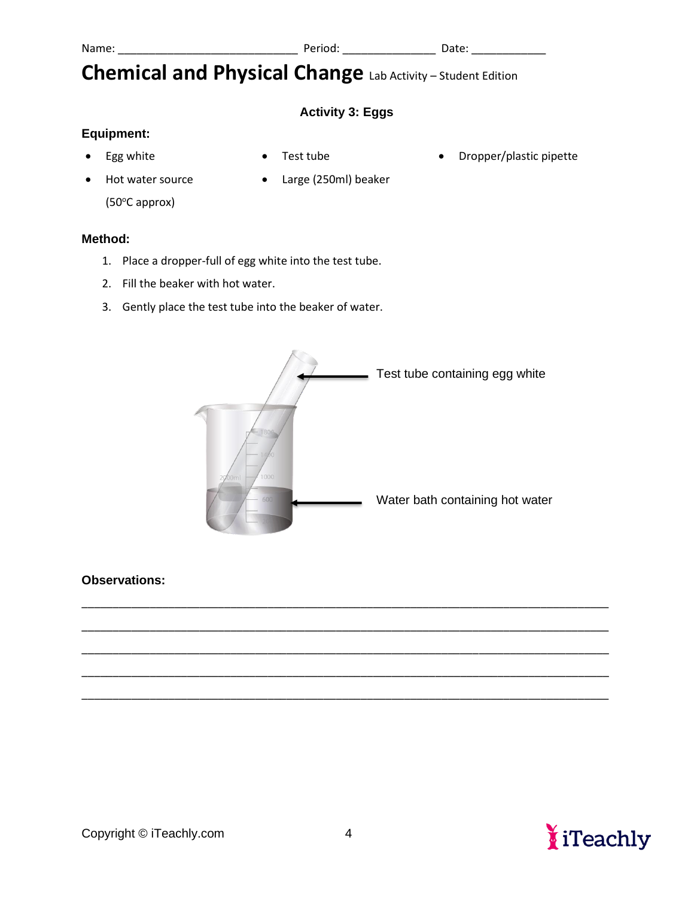### **Activity 3: Eggs**

### **Equipment:**

• Egg white

• Test tube

• Dropper/plastic pipette

- Hot water source  $(50^{\circ}$ C approx)
- Large (250ml) beaker

#### **Method:**

- 1. Place a dropper-full of egg white into the test tube.
- 2. Fill the beaker with hot water.
- 3. Gently place the test tube into the beaker of water.



#### **Observations:**



\_\_\_\_\_\_\_\_\_\_\_\_\_\_\_\_\_\_\_\_\_\_\_\_\_\_\_\_\_\_\_\_\_\_\_\_\_\_\_\_\_\_\_\_\_\_\_\_\_\_\_\_\_\_\_\_\_\_\_\_\_\_\_\_\_\_\_\_\_\_\_\_\_\_\_\_\_\_\_\_\_\_\_\_\_

\_\_\_\_\_\_\_\_\_\_\_\_\_\_\_\_\_\_\_\_\_\_\_\_\_\_\_\_\_\_\_\_\_\_\_\_\_\_\_\_\_\_\_\_\_\_\_\_\_\_\_\_\_\_\_\_\_\_\_\_\_\_\_\_\_\_\_\_\_\_\_\_\_\_\_\_\_\_\_\_\_\_\_\_\_

\_\_\_\_\_\_\_\_\_\_\_\_\_\_\_\_\_\_\_\_\_\_\_\_\_\_\_\_\_\_\_\_\_\_\_\_\_\_\_\_\_\_\_\_\_\_\_\_\_\_\_\_\_\_\_\_\_\_\_\_\_\_\_\_\_\_\_\_\_\_\_\_\_\_\_\_\_\_\_\_\_\_\_\_\_

\_\_\_\_\_\_\_\_\_\_\_\_\_\_\_\_\_\_\_\_\_\_\_\_\_\_\_\_\_\_\_\_\_\_\_\_\_\_\_\_\_\_\_\_\_\_\_\_\_\_\_\_\_\_\_\_\_\_\_\_\_\_\_\_\_\_\_\_\_\_\_\_\_\_\_\_\_\_\_\_\_\_\_\_\_

\_\_\_\_\_\_\_\_\_\_\_\_\_\_\_\_\_\_\_\_\_\_\_\_\_\_\_\_\_\_\_\_\_\_\_\_\_\_\_\_\_\_\_\_\_\_\_\_\_\_\_\_\_\_\_\_\_\_\_\_\_\_\_\_\_\_\_\_\_\_\_\_\_\_\_\_\_\_\_\_\_\_\_\_\_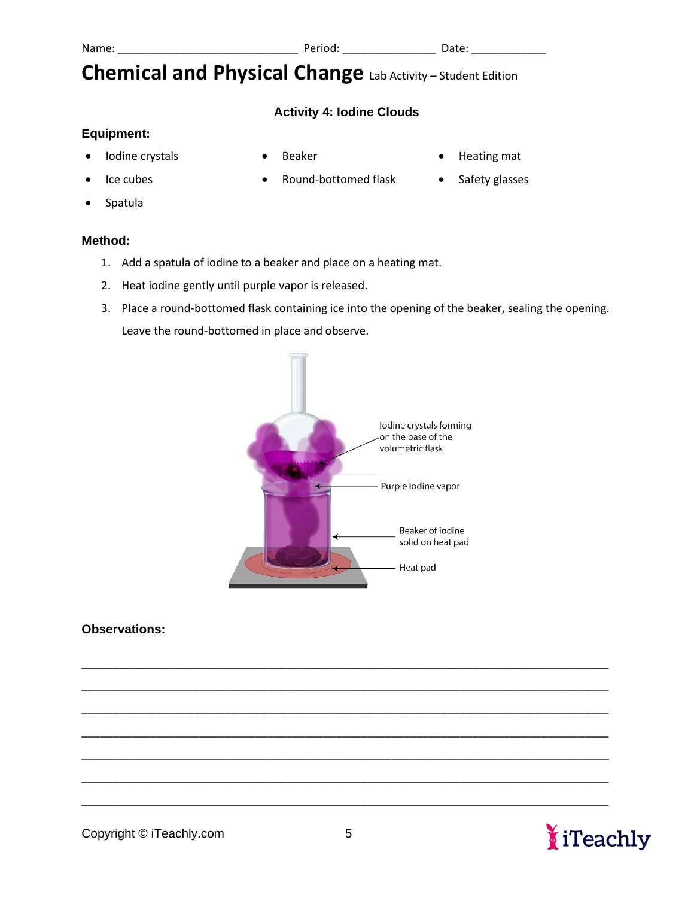

## **Activity 4: Iodine Clouds**

• Round-bottomed flask

## **Equipment:**

• Iodine crystals

• Ice cubes

• Beaker

- Heating mat
- Safety glasses

• Spatula

#### **Method:**

- 1. Add a spatula of iodine to a beaker and place on a heating mat.
- 2. Heat iodine gently until purple vapor is released.
- 3. Place a round-bottomed flask containing ice into the opening of the beaker, sealing the opening. Leave the round-bottomed in place and observe.



\_\_\_\_\_\_\_\_\_\_\_\_\_\_\_\_\_\_\_\_\_\_\_\_\_\_\_\_\_\_\_\_\_\_\_\_\_\_\_\_\_\_\_\_\_\_\_\_\_\_\_\_\_\_\_\_\_\_\_\_\_\_\_\_\_\_\_\_\_\_\_\_\_\_\_\_\_\_\_\_\_\_\_\_\_

\_\_\_\_\_\_\_\_\_\_\_\_\_\_\_\_\_\_\_\_\_\_\_\_\_\_\_\_\_\_\_\_\_\_\_\_\_\_\_\_\_\_\_\_\_\_\_\_\_\_\_\_\_\_\_\_\_\_\_\_\_\_\_\_\_\_\_\_\_\_\_\_\_\_\_\_\_\_\_\_\_\_\_\_\_

\_\_\_\_\_\_\_\_\_\_\_\_\_\_\_\_\_\_\_\_\_\_\_\_\_\_\_\_\_\_\_\_\_\_\_\_\_\_\_\_\_\_\_\_\_\_\_\_\_\_\_\_\_\_\_\_\_\_\_\_\_\_\_\_\_\_\_\_\_\_\_\_\_\_\_\_\_\_\_\_\_\_\_\_\_

\_\_\_\_\_\_\_\_\_\_\_\_\_\_\_\_\_\_\_\_\_\_\_\_\_\_\_\_\_\_\_\_\_\_\_\_\_\_\_\_\_\_\_\_\_\_\_\_\_\_\_\_\_\_\_\_\_\_\_\_\_\_\_\_\_\_\_\_\_\_\_\_\_\_\_\_\_\_\_\_\_\_\_\_\_

\_\_\_\_\_\_\_\_\_\_\_\_\_\_\_\_\_\_\_\_\_\_\_\_\_\_\_\_\_\_\_\_\_\_\_\_\_\_\_\_\_\_\_\_\_\_\_\_\_\_\_\_\_\_\_\_\_\_\_\_\_\_\_\_\_\_\_\_\_\_\_\_\_\_\_\_\_\_\_\_\_\_\_\_\_

\_\_\_\_\_\_\_\_\_\_\_\_\_\_\_\_\_\_\_\_\_\_\_\_\_\_\_\_\_\_\_\_\_\_\_\_\_\_\_\_\_\_\_\_\_\_\_\_\_\_\_\_\_\_\_\_\_\_\_\_\_\_\_\_\_\_\_\_\_\_\_\_\_\_\_\_\_\_\_\_\_\_\_\_\_

\_\_\_\_\_\_\_\_\_\_\_\_\_\_\_\_\_\_\_\_\_\_\_\_\_\_\_\_\_\_\_\_\_\_\_\_\_\_\_\_\_\_\_\_\_\_\_\_\_\_\_\_\_\_\_\_\_\_\_\_\_\_\_\_\_\_\_\_\_\_\_\_\_\_\_\_\_\_\_\_\_\_\_\_\_

### **Observations:**